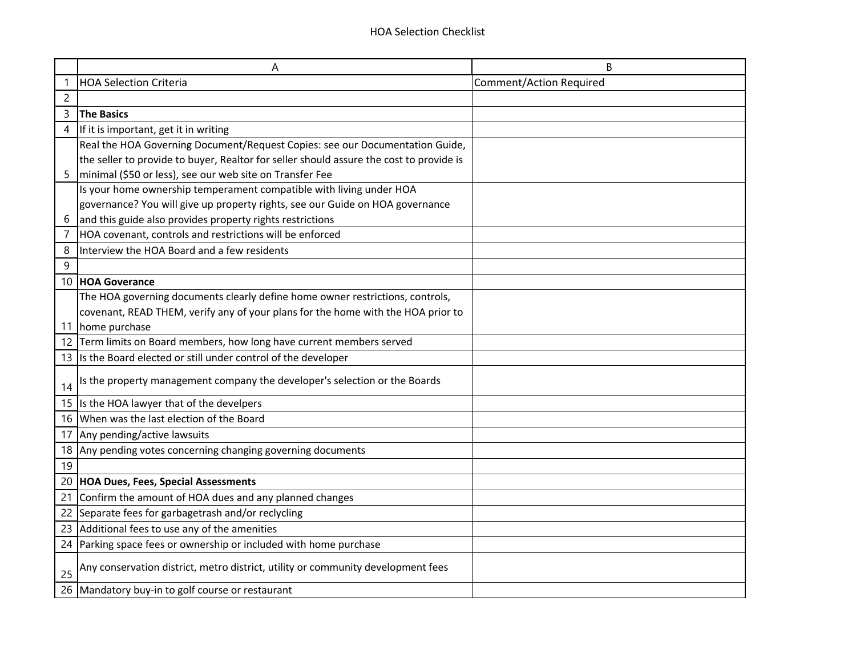|                | A                                                                                       | B                              |
|----------------|-----------------------------------------------------------------------------------------|--------------------------------|
|                | <b>HOA Selection Criteria</b>                                                           | <b>Comment/Action Required</b> |
| $\overline{c}$ |                                                                                         |                                |
| 3              | <b>The Basics</b>                                                                       |                                |
| 4              | If it is important, get it in writing                                                   |                                |
|                | Real the HOA Governing Document/Request Copies: see our Documentation Guide,            |                                |
|                | the seller to provide to buyer, Realtor for seller should assure the cost to provide is |                                |
| 5              | minimal (\$50 or less), see our web site on Transfer Fee                                |                                |
|                | Is your home ownership temperament compatible with living under HOA                     |                                |
|                | governance? You will give up property rights, see our Guide on HOA governance           |                                |
| 6              | and this guide also provides property rights restrictions                               |                                |
|                | HOA covenant, controls and restrictions will be enforced                                |                                |
| 8              | Interview the HOA Board and a few residents                                             |                                |
| 9              |                                                                                         |                                |
|                | 10 HOA Goverance                                                                        |                                |
|                | The HOA governing documents clearly define home owner restrictions, controls,           |                                |
|                | covenant, READ THEM, verify any of your plans for the home with the HOA prior to        |                                |
| 11             | home purchase                                                                           |                                |
|                | 12 Term limits on Board members, how long have current members served                   |                                |
|                | 13 Is the Board elected or still under control of the developer                         |                                |
| 14             | Is the property management company the developer's selection or the Boards              |                                |
|                | 15 Is the HOA lawyer that of the develpers                                              |                                |
|                | 16 When was the last election of the Board                                              |                                |
|                | 17 Any pending/active lawsuits                                                          |                                |
|                | 18 Any pending votes concerning changing governing documents                            |                                |
| 19             |                                                                                         |                                |
| 20             | <b>HOA Dues, Fees, Special Assessments</b>                                              |                                |
| 21             | Confirm the amount of HOA dues and any planned changes                                  |                                |
|                | 22 Separate fees for garbagetrash and/or reclycling                                     |                                |
| 23             | Additional fees to use any of the amenities                                             |                                |
| 24             | Parking space fees or ownership or included with home purchase                          |                                |
| 25             | Any conservation district, metro district, utility or community development fees        |                                |
|                | 26 Mandatory buy-in to golf course or restaurant                                        |                                |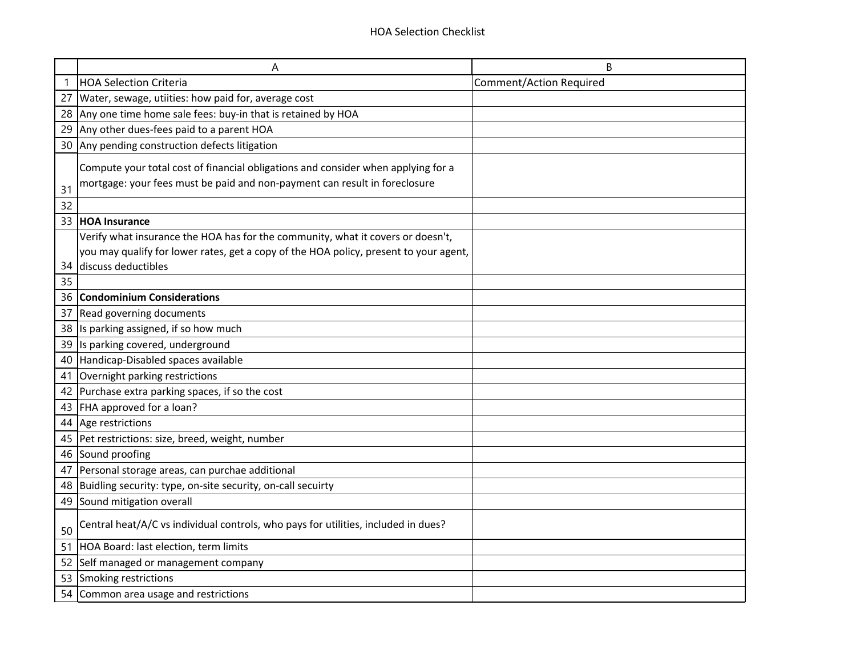|    | Α                                                                                     | B                              |
|----|---------------------------------------------------------------------------------------|--------------------------------|
|    | <b>HOA Selection Criteria</b>                                                         | <b>Comment/Action Required</b> |
| 27 | Water, sewage, utiities: how paid for, average cost                                   |                                |
| 28 | Any one time home sale fees: buy-in that is retained by HOA                           |                                |
| 29 | Any other dues-fees paid to a parent HOA                                              |                                |
| 30 | Any pending construction defects litigation                                           |                                |
|    | Compute your total cost of financial obligations and consider when applying for a     |                                |
|    | mortgage: your fees must be paid and non-payment can result in foreclosure            |                                |
| 31 |                                                                                       |                                |
| 32 |                                                                                       |                                |
| 33 | <b>HOA Insurance</b>                                                                  |                                |
|    | Verify what insurance the HOA has for the community, what it covers or doesn't,       |                                |
|    | you may qualify for lower rates, get a copy of the HOA policy, present to your agent, |                                |
| 34 | discuss deductibles                                                                   |                                |
| 35 |                                                                                       |                                |
| 36 | <b>Condominium Considerations</b>                                                     |                                |
| 37 | Read governing documents                                                              |                                |
| 38 | Is parking assigned, if so how much                                                   |                                |
| 39 | Is parking covered, underground                                                       |                                |
| 40 | Handicap-Disabled spaces available                                                    |                                |
| 41 | Overnight parking restrictions                                                        |                                |
| 42 | Purchase extra parking spaces, if so the cost                                         |                                |
| 43 | FHA approved for a loan?                                                              |                                |
|    | 44 Age restrictions                                                                   |                                |
| 45 | Pet restrictions: size, breed, weight, number                                         |                                |
|    | 46 Sound proofing                                                                     |                                |
| 47 | Personal storage areas, can purchae additional                                        |                                |
| 48 | Buidling security: type, on-site security, on-call secuirty                           |                                |
|    | 49 Sound mitigation overall                                                           |                                |
| 50 | Central heat/A/C vs individual controls, who pays for utilities, included in dues?    |                                |
| 51 | HOA Board: last election, term limits                                                 |                                |
| 52 | Self managed or management company                                                    |                                |
| 53 | Smoking restrictions                                                                  |                                |
| 54 | Common area usage and restrictions                                                    |                                |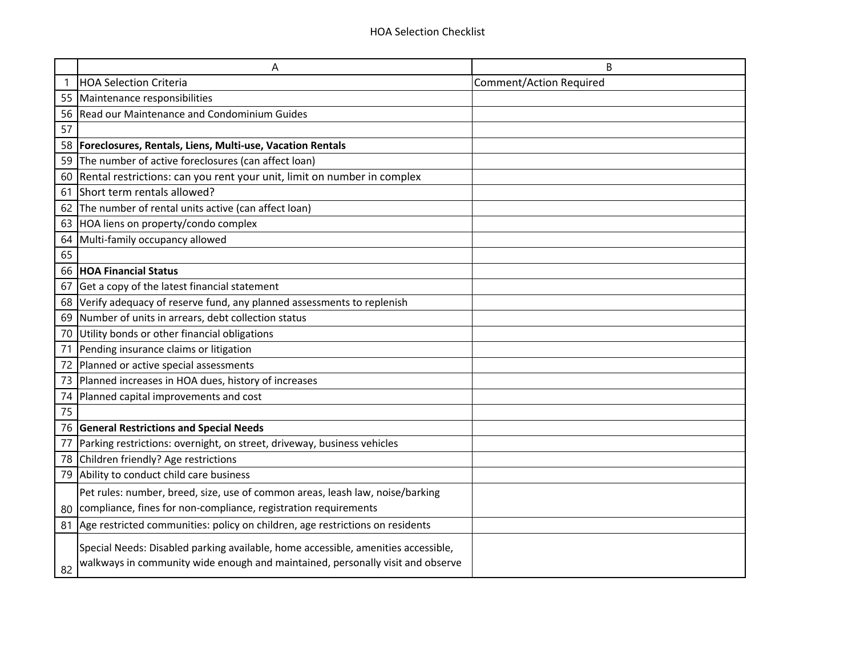|    | Α                                                                                                                                                                   | B                              |
|----|---------------------------------------------------------------------------------------------------------------------------------------------------------------------|--------------------------------|
| 1  | <b>HOA Selection Criteria</b>                                                                                                                                       | <b>Comment/Action Required</b> |
| 55 | Maintenance responsibilities                                                                                                                                        |                                |
| 56 | Read our Maintenance and Condominium Guides                                                                                                                         |                                |
| 57 |                                                                                                                                                                     |                                |
| 58 | Foreclosures, Rentals, Liens, Multi-use, Vacation Rentals                                                                                                           |                                |
| 59 | The number of active foreclosures (can affect loan)                                                                                                                 |                                |
| 60 | Rental restrictions: can you rent your unit, limit on number in complex                                                                                             |                                |
| 61 | Short term rentals allowed?                                                                                                                                         |                                |
| 62 | The number of rental units active (can affect loan)                                                                                                                 |                                |
| 63 | HOA liens on property/condo complex                                                                                                                                 |                                |
| 64 | Multi-family occupancy allowed                                                                                                                                      |                                |
| 65 |                                                                                                                                                                     |                                |
| 66 | <b>HOA Financial Status</b>                                                                                                                                         |                                |
| 67 | Get a copy of the latest financial statement                                                                                                                        |                                |
| 68 | Verify adequacy of reserve fund, any planned assessments to replenish                                                                                               |                                |
| 69 | Number of units in arrears, debt collection status                                                                                                                  |                                |
| 70 | Utility bonds or other financial obligations                                                                                                                        |                                |
| 71 | Pending insurance claims or litigation                                                                                                                              |                                |
| 72 | Planned or active special assessments                                                                                                                               |                                |
| 73 | Planned increases in HOA dues, history of increases                                                                                                                 |                                |
| 74 | Planned capital improvements and cost                                                                                                                               |                                |
| 75 |                                                                                                                                                                     |                                |
| 76 | <b>General Restrictions and Special Needs</b>                                                                                                                       |                                |
| 77 | Parking restrictions: overnight, on street, driveway, business vehicles                                                                                             |                                |
| 78 | Children friendly? Age restrictions                                                                                                                                 |                                |
| 79 | Ability to conduct child care business                                                                                                                              |                                |
|    | Pet rules: number, breed, size, use of common areas, leash law, noise/barking                                                                                       |                                |
| 80 | compliance, fines for non-compliance, registration requirements                                                                                                     |                                |
| 81 | Age restricted communities: policy on children, age restrictions on residents                                                                                       |                                |
| 82 | Special Needs: Disabled parking available, home accessible, amenities accessible,<br>walkways in community wide enough and maintained, personally visit and observe |                                |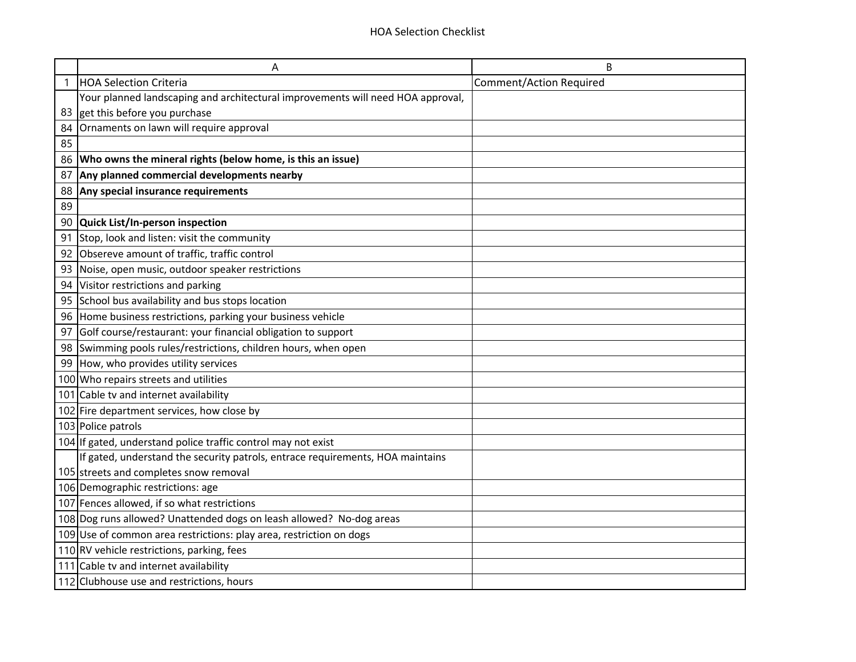|    | Α                                                                               | B                              |
|----|---------------------------------------------------------------------------------|--------------------------------|
|    | <b>HOA Selection Criteria</b>                                                   | <b>Comment/Action Required</b> |
|    | Your planned landscaping and architectural improvements will need HOA approval, |                                |
| 83 | get this before you purchase                                                    |                                |
| 84 | Ornaments on lawn will require approval                                         |                                |
| 85 |                                                                                 |                                |
| 86 | Who owns the mineral rights (below home, is this an issue)                      |                                |
| 87 | Any planned commercial developments nearby                                      |                                |
| 88 | Any special insurance requirements                                              |                                |
| 89 |                                                                                 |                                |
| 90 | Quick List/In-person inspection                                                 |                                |
| 91 | Stop, look and listen: visit the community                                      |                                |
| 92 | Obsereve amount of traffic, traffic control                                     |                                |
| 93 | Noise, open music, outdoor speaker restrictions                                 |                                |
| 94 | Visitor restrictions and parking                                                |                                |
| 95 | School bus availability and bus stops location                                  |                                |
| 96 | Home business restrictions, parking your business vehicle                       |                                |
| 97 | Golf course/restaurant: your financial obligation to support                    |                                |
| 98 | Swimming pools rules/restrictions, children hours, when open                    |                                |
| 99 | How, who provides utility services                                              |                                |
|    | 100 Who repairs streets and utilities                                           |                                |
|    | 101 Cable tv and internet availability                                          |                                |
|    | 102 Fire department services, how close by                                      |                                |
|    | 103 Police patrols                                                              |                                |
|    | 104 If gated, understand police traffic control may not exist                   |                                |
|    | If gated, understand the security patrols, entrace requirements, HOA maintains  |                                |
|    | 105 streets and completes snow removal                                          |                                |
|    | 106 Demographic restrictions: age                                               |                                |
|    | 107 Fences allowed, if so what restrictions                                     |                                |
|    | 108 Dog runs allowed? Unattended dogs on leash allowed? No-dog areas            |                                |
|    | 109 Use of common area restrictions: play area, restriction on dogs             |                                |
|    | 110 RV vehicle restrictions, parking, fees                                      |                                |
|    | 111 Cable tv and internet availability                                          |                                |
|    | 112 Clubhouse use and restrictions, hours                                       |                                |